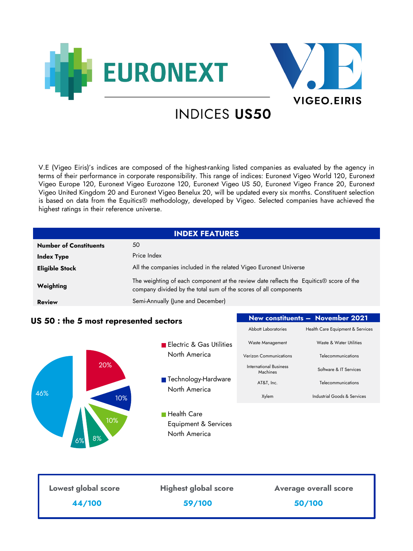



**New constituents – November 2021**

# **INDICES US50**

V.E (Vigeo Eiris)'s indices are composed of the highest-ranking listed companies as evaluated by the agency in terms of their performance in corporate responsibility. This range of indices: Euronext Vigeo World 120, Euronext Vigeo Europe 120, Euronext Vigeo Eurozone 120, Euronext Vigeo US 50, Euronext Vigeo France 20, Euronext Vigeo United Kingdom 20 and Euronext Vigeo Benelux 20, will be updated every six months. Constituent selection is based on data from the Equitics® methodology, developed by Vigeo. Selected companies have achieved the highest ratings in their reference universe.

| <b>INDEX FEATURES</b>         |                                                                                                                                                                        |  |  |  |
|-------------------------------|------------------------------------------------------------------------------------------------------------------------------------------------------------------------|--|--|--|
| <b>Number of Constituents</b> | 50                                                                                                                                                                     |  |  |  |
| <b>Index Type</b>             | Price Index                                                                                                                                                            |  |  |  |
| <b>Eligible Stock</b>         | All the companies included in the related Vigeo Euronext Universe                                                                                                      |  |  |  |
| Weighting                     | The weighting of each component at the review date reflects the Equitics <sup>®</sup> score of the<br>company divided by the total sum of the scores of all components |  |  |  |
| <b>Review</b>                 | Semi-Annually (June and December)                                                                                                                                      |  |  |  |

# **US 50 : the 5 most represented sectors**

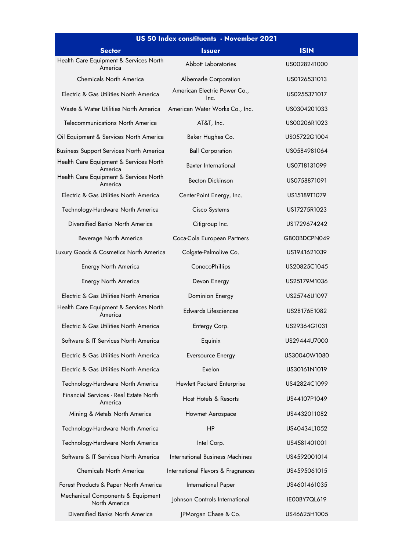| US 50 Index constituents - November 2021 |  |
|------------------------------------------|--|
|------------------------------------------|--|

| <b>Sector</b>                                      | <b>Issuer</b>                        | <b>ISIN</b>  |
|----------------------------------------------------|--------------------------------------|--------------|
| Health Care Equipment & Services North<br>America  | <b>Abbott Laboratories</b>           | US0028241000 |
| <b>Chemicals North America</b>                     | Albemarle Corporation                | US0126531013 |
| Electric & Gas Utilities North America             | American Electric Power Co.,<br>Inc. | US0255371017 |
| Waste & Water Utilities North America              | American Water Works Co., Inc.       | US0304201033 |
| <b>Telecommunications North America</b>            | AT&T, Inc.                           | US00206R1023 |
| Oil Equipment & Services North America             | Baker Hughes Co.                     | US05722G1004 |
| <b>Business Support Services North America</b>     | <b>Ball Corporation</b>              | US0584981064 |
| Health Care Equipment & Services North<br>America  | Baxter International                 | US0718131099 |
| Health Care Equipment & Services North<br>America  | <b>Becton Dickinson</b>              | US0758871091 |
| Electric & Gas Utilities North America             | CenterPoint Energy, Inc.             | US15189T1079 |
| Technology-Hardware North America                  | Cisco Systems                        | US17275R1023 |
| Diversified Banks North America                    | Citigroup Inc.                       | US1729674242 |
| Beverage North America                             | Coca-Cola European Partners          | GB00BDCPN049 |
| Luxury Goods & Cosmetics North America             | Colgate-Palmolive Co.                | US1941621039 |
| Energy North America                               | ConocoPhillips                       | US20825C1045 |
| Energy North America                               | Devon Energy                         | US25179M1036 |
| Electric & Gas Utilities North America             | Dominion Energy                      | US25746U1097 |
| Health Care Equipment & Services North<br>America  | <b>Edwards Lifesciences</b>          | US28176E1082 |
| Electric & Gas Utilities North America             | Entergy Corp.                        | US29364G1031 |
| Software & IT Services North America               | Equinix                              | US29444U7000 |
| Electric & Gas Utilities North America             | <b>Eversource Energy</b>             | US30040W1080 |
| Electric & Gas Utilities North America             | Exelon                               | US30161N1019 |
| Technology-Hardware North America                  | <b>Hewlett Packard Enterprise</b>    | US42824C1099 |
| Financial Services - Real Estate North<br>America  | Host Hotels & Resorts                | US44107P1049 |
| Mining & Metals North America                      | Howmet Aerospace                     | US4432011082 |
| Technology-Hardware North America                  | HP                                   | US40434L1052 |
| Technology-Hardware North America                  | Intel Corp.                          | US4581401001 |
| Software & IT Services North America               | International Business Machines      | US4592001014 |
| <b>Chemicals North America</b>                     | International Flavors & Fragrances   | US4595061015 |
| Forest Products & Paper North America              | International Paper                  | US4601461035 |
| Mechanical Components & Equipment<br>North America | Johnson Controls International       | IE00BY7QL619 |
| Diversified Banks North America                    | JPMorgan Chase & Co.                 | US46625H1005 |